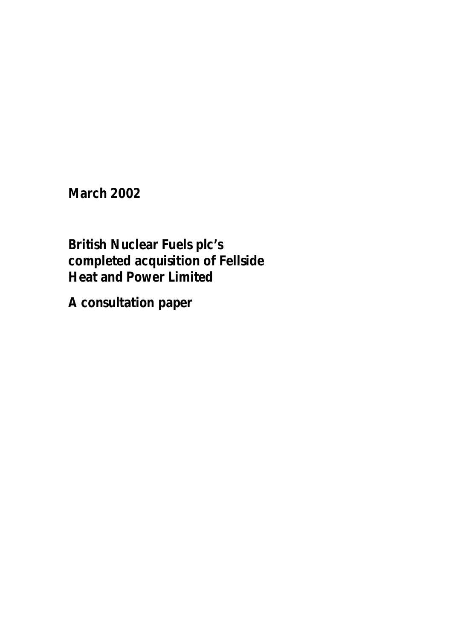**March 2002** 

**British Nuclear Fuels plc's completed acquisition of Fellside Heat and Power Limited** 

**A consultation paper**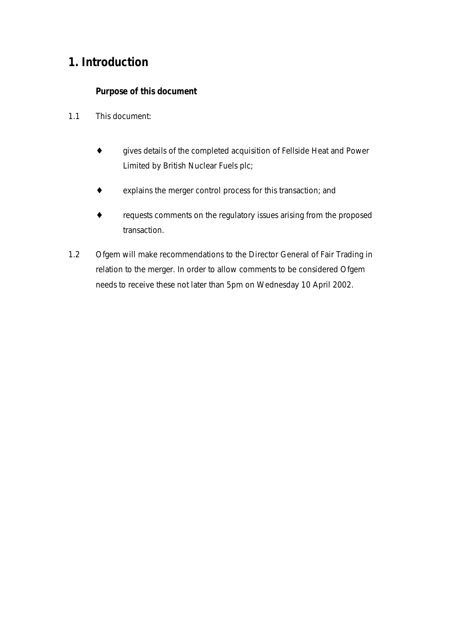# **1. Introduction**

### *Purpose of this document*

- 1.1 This document:
	- ♦ gives details of the completed acquisition of Fellside Heat and Power Limited by British Nuclear Fuels plc;
	- ♦ explains the merger control process for this transaction; and
	- ♦ requests comments on the regulatory issues arising from the proposed transaction.
- 1.2 Ofgem will make recommendations to the Director General of Fair Trading in relation to the merger. In order to allow comments to be considered Ofgem needs to receive these not later than 5pm on Wednesday 10 April 2002.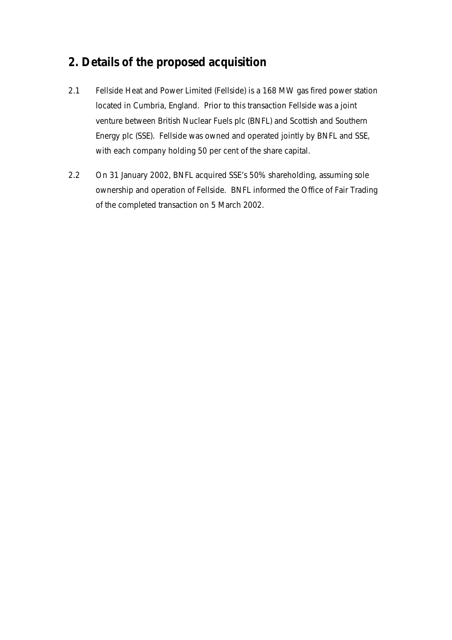# **2. Details of the proposed acquisition**

- 2.1 Fellside Heat and Power Limited (Fellside) is a 168 MW gas fired power station located in Cumbria, England. Prior to this transaction Fellside was a joint venture between British Nuclear Fuels plc (BNFL) and Scottish and Southern Energy plc (SSE). Fellside was owned and operated jointly by BNFL and SSE, with each company holding 50 per cent of the share capital.
- 2.2 On 31 January 2002, BNFL acquired SSE's 50% shareholding, assuming sole ownership and operation of Fellside. BNFL informed the Office of Fair Trading of the completed transaction on 5 March 2002.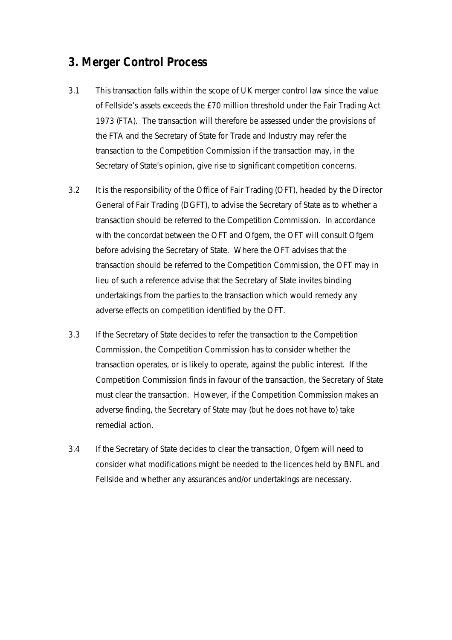## **3. Merger Control Process**

- 3.1 This transaction falls within the scope of UK merger control law since the value of Fellside's assets exceeds the £70 million threshold under the Fair Trading Act 1973 (FTA). The transaction will therefore be assessed under the provisions of the FTA and the Secretary of State for Trade and Industry may refer the transaction to the Competition Commission if the transaction may, in the Secretary of State's opinion, give rise to significant competition concerns.
- 3.2 It is the responsibility of the Office of Fair Trading (OFT), headed by the Director General of Fair Trading (DGFT), to advise the Secretary of State as to whether a transaction should be referred to the Competition Commission. In accordance with the concordat between the OFT and Ofgem, the OFT will consult Ofgem before advising the Secretary of State. Where the OFT advises that the transaction should be referred to the Competition Commission, the OFT may in lieu of such a reference advise that the Secretary of State invites binding undertakings from the parties to the transaction which would remedy any adverse effects on competition identified by the OFT.
- 3.3 If the Secretary of State decides to refer the transaction to the Competition Commission, the Competition Commission has to consider whether the transaction operates, or is likely to operate, against the public interest. If the Competition Commission finds in favour of the transaction, the Secretary of State must clear the transaction. However, if the Competition Commission makes an adverse finding, the Secretary of State may (but he does not have to) take remedial action.
- 3.4 If the Secretary of State decides to clear the transaction, Ofgem will need to consider what modifications might be needed to the licences held by BNFL and Fellside and whether any assurances and/or undertakings are necessary.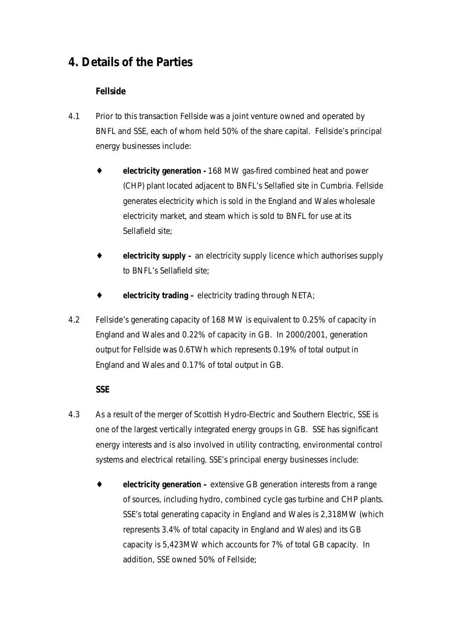# **4. Details of the Parties**

### *Fellside*

- 4.1 Prior to this transaction Fellside was a joint venture owned and operated by BNFL and SSE, each of whom held 50% of the share capital. Fellside's principal energy businesses include:
	- electricity generation 168 MW gas-fired combined heat and power (CHP) plant located adjacent to BNFL's Sellafied site in Cumbria. Fellside generates electricity which is sold in the England and Wales wholesale electricity market, and steam which is sold to BNFL for use at its Sellafield site;
	- ♦ **electricity supply –** an electricity supply licence which authorises supply to BNFL's Sellafield site;
	- **electricity trading –** electricity trading through NETA;
- 4.2 Fellside's generating capacity of 168 MW is equivalent to 0.25% of capacity in England and Wales and 0.22% of capacity in GB. In 2000/2001, generation output for Fellside was 0.6TWh which represents 0.19% of total output in England and Wales and 0.17% of total output in GB.

#### *SSE*

- 4.3 As a result of the merger of Scottish Hydro-Electric and Southern Electric, SSE is one of the largest vertically integrated energy groups in GB. SSE has significant energy interests and is also involved in utility contracting, environmental control systems and electrical retailing. SSE's principal energy businesses include:
	- ♦ **electricity generation** extensive GB generation interests from a range of sources, including hydro, combined cycle gas turbine and CHP plants. SSE's total generating capacity in England and Wales is 2,318MW (which represents 3.4% of total capacity in England and Wales) and its GB capacity is 5,423MW which accounts for 7% of total GB capacity. In addition, SSE owned 50% of Fellside;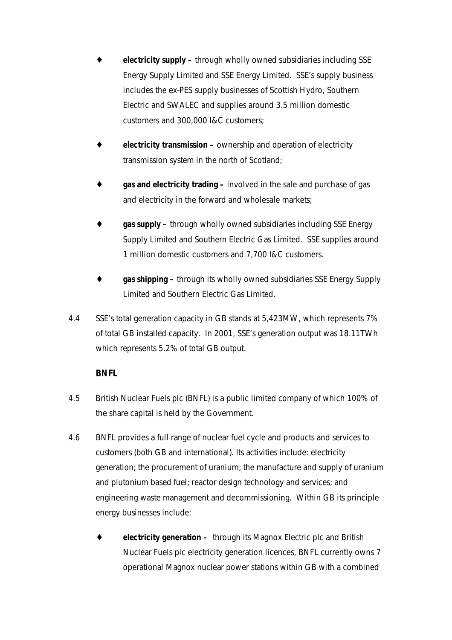- ♦ **electricity supply –** through wholly owned subsidiaries including SSE Energy Supply Limited and SSE Energy Limited. SSE's supply business includes the ex-PES supply businesses of Scottish Hydro, Southern Electric and SWALEC and supplies around 3.5 million domestic customers and 300,000 I&C customers;
- **electricity transmission –** ownership and operation of electricity transmission system in the north of Scotland;
- gas and electricity trading involved in the sale and purchase of gas and electricity in the forward and wholesale markets;
- **gas supply –** through wholly owned subsidiaries including SSE Energy Supply Limited and Southern Electric Gas Limited. SSE supplies around 1 million domestic customers and 7,700 I&C customers.
- gas shipping through its wholly owned subsidiaries SSE Energy Supply Limited and Southern Electric Gas Limited.
- 4.4 SSE's total generation capacity in GB stands at 5,423MW, which represents 7% of total GB installed capacity. In 2001, SSE's generation output was 18.11TWh which represents 5.2% of total GB output.

### *BNFL*

- 4.5 British Nuclear Fuels plc (BNFL) is a public limited company of which 100% of the share capital is held by the Government.
- 4.6 BNFL provides a full range of nuclear fuel cycle and products and services to customers (both GB and international). Its activities include: electricity generation; the procurement of uranium; the manufacture and supply of uranium and plutonium based fuel; reactor design technology and services; and engineering waste management and decommissioning. Within GB its principle energy businesses include:
	- electricity generation through its Magnox Electric plc and British Nuclear Fuels plc electricity generation licences, BNFL currently owns 7 operational Magnox nuclear power stations within GB with a combined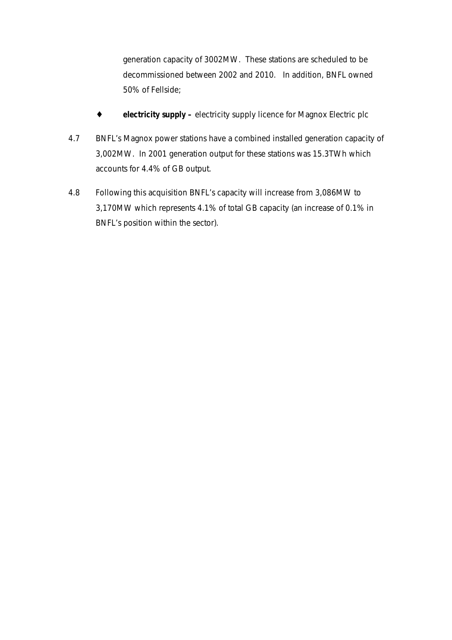generation capacity of 3002MW. These stations are scheduled to be decommissioned between 2002 and 2010. In addition, BNFL owned 50% of Fellside;

- ♦ **electricity supply** electricity supply licence for Magnox Electric plc
- 4.7 BNFL's Magnox power stations have a combined installed generation capacity of 3,002MW. In 2001 generation output for these stations was 15.3TWh which accounts for 4.4% of GB output.
- 4.8 Following this acquisition BNFL's capacity will increase from 3,086MW to 3,170MW which represents 4.1% of total GB capacity (an increase of 0.1% in BNFL's position within the sector).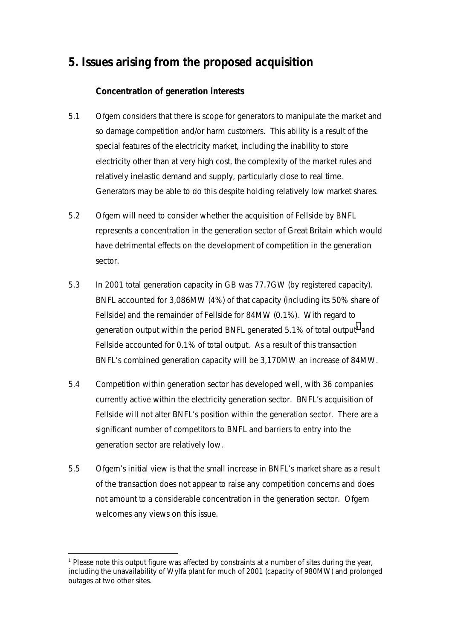# **5. Issues arising from the proposed acquisition**

### *Concentration of generation interests*

- 5.1 Ofgem considers that there is scope for generators to manipulate the market and so damage competition and/or harm customers. This ability is a result of the special features of the electricity market, including the inability to store electricity other than at very high cost, the complexity of the market rules and relatively inelastic demand and supply, particularly close to real time. Generators may be able to do this despite holding relatively low market shares.
- 5.2 Ofgem will need to consider whether the acquisition of Fellside by BNFL represents a concentration in the generation sector of Great Britain which would have detrimental effects on the development of competition in the generation sector.
- 5.3 In 2001 total generation capacity in GB was 77.7GW (by registered capacity). BNFL accounted for 3,086MW (4%) of that capacity (including its 50% share of Fellside) and the remainder of Fellside for 84MW (0.1%). With regard to generation output within the period BNFL generated 5.1% of total output<sup>1</sup> and Fellside accounted for 0.1% of total output. As a result of this transaction BNFL's combined generation capacity will be 3,170MW an increase of 84MW.
- 5.4 Competition within generation sector has developed well, with 36 companies currently active within the electricity generation sector. BNFL's acquisition of Fellside will not alter BNFL's position within the generation sector. There are a significant number of competitors to BNFL and barriers to entry into the generation sector are relatively low.
- 5.5 Ofgem's initial view is that the small increase in BNFL's market share as a result of the transaction does not appear to raise any competition concerns and does not amount to a considerable concentration in the generation sector. Ofgem welcomes any views on this issue.

 $\overline{a}$ <sup>1</sup> Please note this output figure was affected by constraints at a number of sites during the year, including the unavailability of Wylfa plant for much of 2001 (capacity of 980MW) and prolonged outages at two other sites.